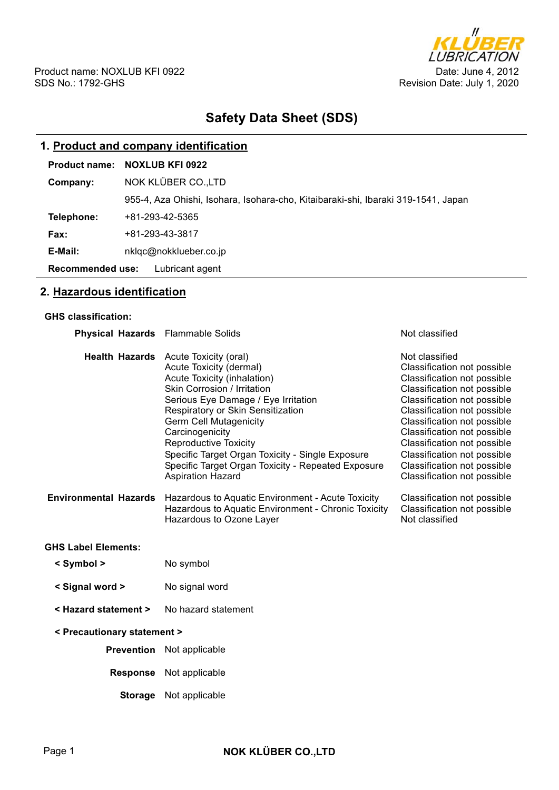

# **Safety Data Sheet (SDS)**

# **1. Product and company identification**

| Company:                                   | NOK KLÜBER CO.,LTD                                                                |  |  |
|--------------------------------------------|-----------------------------------------------------------------------------------|--|--|
|                                            | 955-4, Aza Ohishi, Isohara, Isohara-cho, Kitaibaraki-shi, Ibaraki 319-1541, Japan |  |  |
| Telephone:                                 | +81-293-42-5365                                                                   |  |  |
| <b>Fax:</b>                                | +81-293-43-3817                                                                   |  |  |
| E-Mail:                                    | nklgc@nokklueber.co.jp                                                            |  |  |
| <b>Recommended use:</b><br>Lubricant agent |                                                                                   |  |  |

# **2. Hazardous identification**

#### **GHS classification:**

| <b>Physical Hazards</b> Flammable Solids |                                                                                                                                                                                                                                                                                                                                                                                                                                                                                                 | Not classified                                                                                                                                                                                                                                                                                                                                                                                     |  |  |
|------------------------------------------|-------------------------------------------------------------------------------------------------------------------------------------------------------------------------------------------------------------------------------------------------------------------------------------------------------------------------------------------------------------------------------------------------------------------------------------------------------------------------------------------------|----------------------------------------------------------------------------------------------------------------------------------------------------------------------------------------------------------------------------------------------------------------------------------------------------------------------------------------------------------------------------------------------------|--|--|
| <b>Environmental Hazards</b>             | Health Hazards Acute Toxicity (oral)<br>Acute Toxicity (dermal)<br>Acute Toxicity (inhalation)<br><b>Skin Corrosion / Irritation</b><br>Serious Eye Damage / Eye Irritation<br>Respiratory or Skin Sensitization<br><b>Germ Cell Mutagenicity</b><br>Carcinogenicity<br><b>Reproductive Toxicity</b><br>Specific Target Organ Toxicity - Single Exposure<br>Specific Target Organ Toxicity - Repeated Exposure<br><b>Aspiration Hazard</b><br>Hazardous to Aquatic Environment - Acute Toxicity | Not classified<br>Classification not possible<br>Classification not possible<br>Classification not possible<br>Classification not possible<br>Classification not possible<br>Classification not possible<br>Classification not possible<br>Classification not possible<br>Classification not possible<br>Classification not possible<br>Classification not possible<br>Classification not possible |  |  |
|                                          | Hazardous to Aquatic Environment - Chronic Toxicity<br>Hazardous to Ozone Layer                                                                                                                                                                                                                                                                                                                                                                                                                 | Classification not possible<br>Not classified                                                                                                                                                                                                                                                                                                                                                      |  |  |
| <b>GHS Label Elements:</b>               |                                                                                                                                                                                                                                                                                                                                                                                                                                                                                                 |                                                                                                                                                                                                                                                                                                                                                                                                    |  |  |
| < Symbol >                               | No symbol                                                                                                                                                                                                                                                                                                                                                                                                                                                                                       |                                                                                                                                                                                                                                                                                                                                                                                                    |  |  |
| < Signal word >                          | No signal word                                                                                                                                                                                                                                                                                                                                                                                                                                                                                  |                                                                                                                                                                                                                                                                                                                                                                                                    |  |  |
| < Hazard statement >                     | No hazard statement                                                                                                                                                                                                                                                                                                                                                                                                                                                                             |                                                                                                                                                                                                                                                                                                                                                                                                    |  |  |
| < Precautionary statement >              |                                                                                                                                                                                                                                                                                                                                                                                                                                                                                                 |                                                                                                                                                                                                                                                                                                                                                                                                    |  |  |
|                                          | <b>Prevention</b> Not applicable                                                                                                                                                                                                                                                                                                                                                                                                                                                                |                                                                                                                                                                                                                                                                                                                                                                                                    |  |  |
|                                          | Response Not applicable                                                                                                                                                                                                                                                                                                                                                                                                                                                                         |                                                                                                                                                                                                                                                                                                                                                                                                    |  |  |
| <b>Storage</b>                           | Not applicable                                                                                                                                                                                                                                                                                                                                                                                                                                                                                  |                                                                                                                                                                                                                                                                                                                                                                                                    |  |  |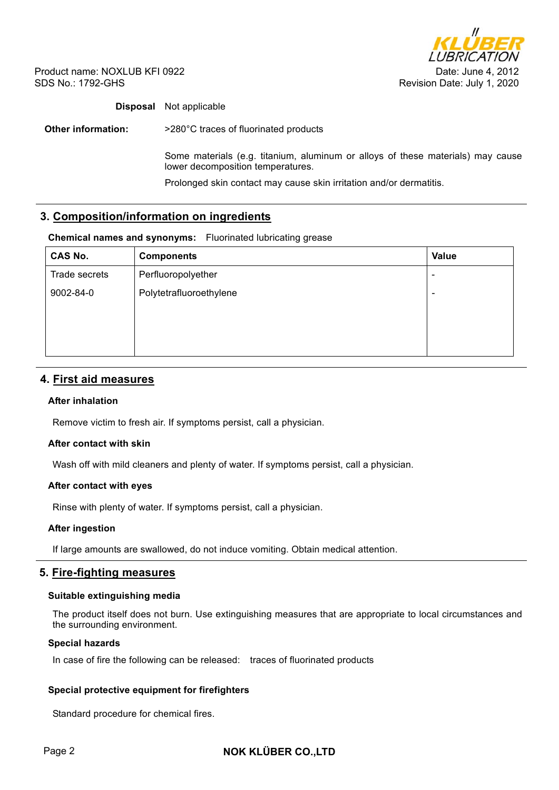

Product name: NOXLUB KFI 0922 SDS No.: 1792-GHS

# **Disposal** Not applicable

**Other information:**  $>280^{\circ}$ C traces of fluorinated products

Some materials (e.g. titanium, aluminum or alloys of these materials) may cause lower decomposition temperatures.

Prolonged skin contact may cause skin irritation and/or dermatitis.

# **3. Composition/information on ingredients**

#### **Chemical names and synonyms:** Fluorinated lubricating grease

| <b>CAS No.</b> | <b>Components</b>       | Value          |
|----------------|-------------------------|----------------|
| Trade secrets  | Perfluoropolyether      | $\blacksquare$ |
| 9002-84-0      | Polytetrafluoroethylene | $\blacksquare$ |
|                |                         |                |
|                |                         |                |
|                |                         |                |

# **4. First aid measures**

## **After inhalation**

Remove victim to fresh air. If symptoms persist, call a physician.

## **After contact with skin**

Wash off with mild cleaners and plenty of water. If symptoms persist, call a physician.

## **After contact with eyes**

Rinse with plenty of water. If symptoms persist, call a physician.

#### **After ingestion**

If large amounts are swallowed, do not induce vomiting. Obtain medical attention.

## **5. Fire-fighting measures**

#### **Suitable extinguishing media**

The product itself does not burn. Use extinguishing measures that are appropriate to local circumstances and the surrounding environment.

#### **Special hazards**

In case of fire the following can be released: traces of fluorinated products

## **Special protective equipment for firefighters**

Standard procedure for chemical fires.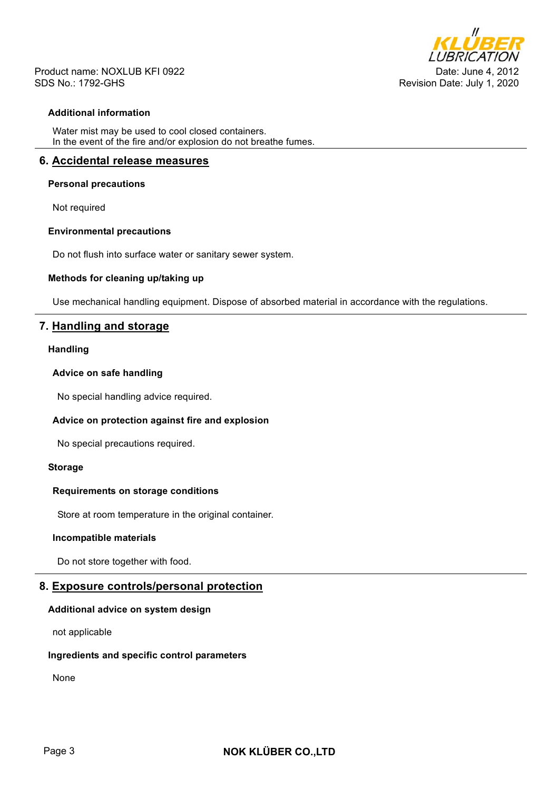

Product name: NOXLUB KFI 0922 SDS No.: 1792-GHS

## **Additional information**

Water mist may be used to cool closed containers. In the event of the fire and/or explosion do not breathe fumes.

# **6. Accidental release measures**

#### **Personal precautions**

Not required

#### **Environmental precautions**

Do not flush into surface water or sanitary sewer system.

#### **Methods for cleaning up/taking up**

Use mechanical handling equipment. Dispose of absorbed material in accordance with the regulations.

# **7. Handling and storage**

#### **Handling**

#### **Advice on safe handling**

No special handling advice required.

## **Advice on protection against fire and explosion**

No special precautions required.

#### **Storage**

#### **Requirements on storage conditions**

Store at room temperature in the original container.

### **Incompatible materials**

Do not store together with food.

# **8. Exposure controls/personal protection**

#### **Additional advice on system design**

not applicable

#### **Ingredients and specific control parameters**

None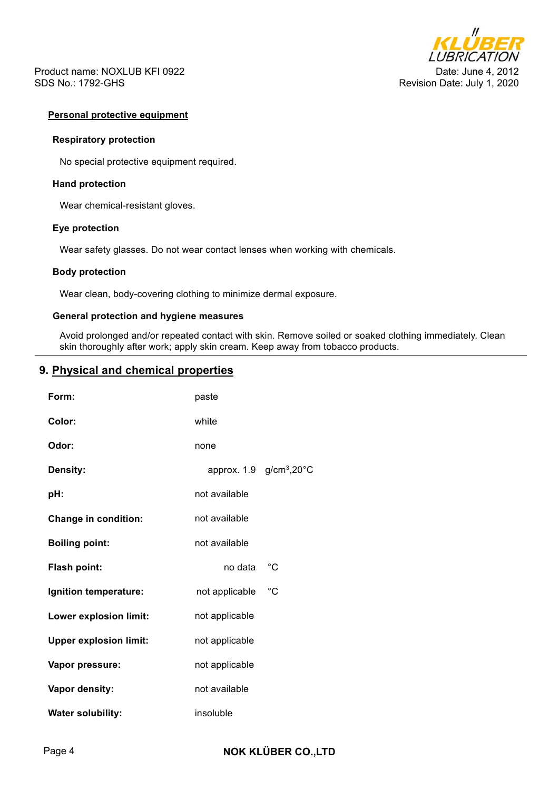



#### **Personal protective equipment**

#### **Respiratory protection**

No special protective equipment required.

#### **Hand protection**

Wear chemical-resistant gloves.

#### **Eye protection**

Wear safety glasses. Do not wear contact lenses when working with chemicals.

#### **Body protection**

Wear clean, body-covering clothing to minimize dermal exposure.

## **General protection and hygiene measures**

Avoid prolonged and/or repeated contact with skin. Remove soiled or soaked clothing immediately. Clean skin thoroughly after work; apply skin cream. Keep away from tobacco products.

# **9. Physical and chemical properties**

| Form:                         | paste          |                                                  |
|-------------------------------|----------------|--------------------------------------------------|
| Color:                        | white          |                                                  |
| Odor:                         | none           |                                                  |
| <b>Density:</b>               |                | approx. $1.9$ g/cm <sup>3</sup> ,20 $^{\circ}$ C |
| pH:                           | not available  |                                                  |
| <b>Change in condition:</b>   | not available  |                                                  |
| <b>Boiling point:</b>         | not available  |                                                  |
| Flash point:                  | no data        | °C                                               |
| Ignition temperature:         | not applicable | $^{\circ}C$                                      |
| Lower explosion limit:        | not applicable |                                                  |
| <b>Upper explosion limit:</b> | not applicable |                                                  |
| Vapor pressure:               | not applicable |                                                  |
| Vapor density:                | not available  |                                                  |
| <b>Water solubility:</b>      | insoluble      |                                                  |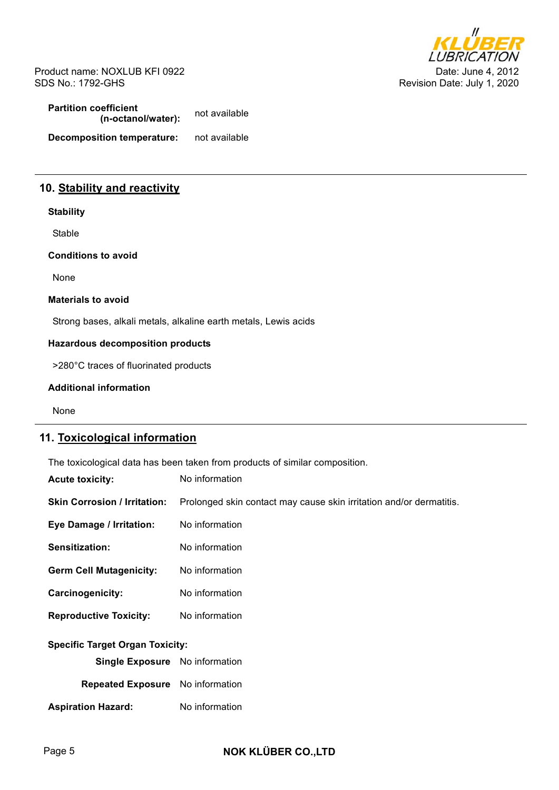Product name: NOXLUB KFI 0922 SDS No.: 1792-GHS



**Partition coefficient (n-octanol/water):** not available **Decomposition temperature:** not available

# **10. Stability and reactivity**

# **Stability**

Stable

**Conditions to avoid** 

None

#### **Materials to avoid**

Strong bases, alkali metals, alkaline earth metals, Lewis acids

## **Hazardous decomposition products**

>280°C traces of fluorinated products

#### **Additional information**

None

# **11. Toxicological information**

The toxicological data has been taken from products of similar composition.

| <b>Acute toxicity:</b>                 | No information                                                      |  |  |  |  |
|----------------------------------------|---------------------------------------------------------------------|--|--|--|--|
| <b>Skin Corrosion / Irritation:</b>    | Prolonged skin contact may cause skin irritation and/or dermatitis. |  |  |  |  |
| Eye Damage / Irritation:               | No information                                                      |  |  |  |  |
| Sensitization:                         | No information                                                      |  |  |  |  |
| <b>Germ Cell Mutagenicity:</b>         | No information                                                      |  |  |  |  |
| Carcinogenicity:                       | No information                                                      |  |  |  |  |
| <b>Reproductive Toxicity:</b>          | No information                                                      |  |  |  |  |
| <b>Specific Target Organ Toxicity:</b> |                                                                     |  |  |  |  |
| <b>Single Exposure</b> No information  |                                                                     |  |  |  |  |
| <b>Repeated Exposure</b>               | No information                                                      |  |  |  |  |
| <b>Aspiration Hazard:</b>              | No information                                                      |  |  |  |  |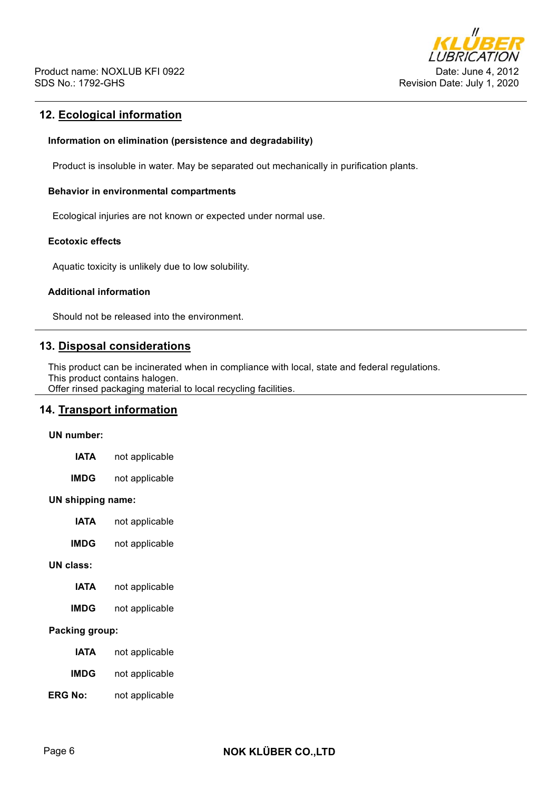

# **12. Ecological information**

#### **Information on elimination (persistence and degradability)**

Product is insoluble in water. May be separated out mechanically in purification plants.

### **Behavior in environmental compartments**

Ecological injuries are not known or expected under normal use.

# **Ecotoxic effects**

Aquatic toxicity is unlikely due to low solubility.

#### **Additional information**

Should not be released into the environment.

# **13. Disposal considerations**

This product can be incinerated when in compliance with local, state and federal regulations. This product contains halogen.

Offer rinsed packaging material to local recycling facilities.

# **14. Transport information**

#### **UN number:**

| not applicable<br><b>IATA</b> |  |
|-------------------------------|--|
|-------------------------------|--|

**IMDG** not applicable

#### **UN shipping name:**

- **IATA** not applicable
- **IMDG** not applicable

#### **UN class:**

- **IATA** not applicable
- **IMDG** not applicable

# **Packing group:**

- **IATA** not applicable
- **IMDG** not applicable
- **ERG No:** not applicable